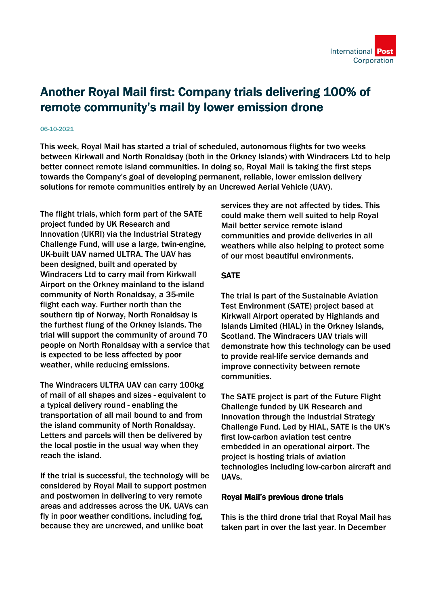

# Another Royal Mail first: Company trials delivering 100% of remote community's mail by lower emission drone

#### 06-10-2021

This week, Royal Mail has started a trial of scheduled, autonomous flights for two weeks between Kirkwall and North Ronaldsay (both in the Orkney Islands) with Windracers Ltd to help better connect remote island communities. In doing so, Royal Mail is taking the first steps towards the Company's goal of developing permanent, reliable, lower emission delivery solutions for remote communities entirely by an Uncrewed Aerial Vehicle (UAV).

The flight trials, which form part of the SATE project funded by UK Research and Innovation (UKRI) via the Industrial Strategy Challenge Fund, will use a large, twin-engine, UK-built UAV named ULTRA. The UAV has been designed, built and operated by Windracers Ltd to carry mail from Kirkwall Airport on the Orkney mainland to the island community of North Ronaldsay, a 35-mile flight each way. Further north than the southern tip of Norway, North Ronaldsay is the furthest flung of the Orkney Islands. The trial will support the community of around 70 people on North Ronaldsay with a service that is expected to be less affected by poor weather, while reducing emissions.

The Windracers ULTRA UAV can carry 100kg of mail of all shapes and sizes - equivalent to a typical delivery round - enabling the transportation of all mail bound to and from the island community of North Ronaldsay. Letters and parcels will then be delivered by the local postie in the usual way when they reach the island.

If the trial is successful, the technology will be considered by Royal Mail to support postmen and postwomen in delivering to very remote areas and addresses across the UK. UAVs can fly in poor weather conditions, including fog, because they are uncrewed, and unlike boat

services they are not affected by tides. This could make them well suited to help Royal Mail better service remote island communities and provide deliveries in all weathers while also helping to protect some of our most beautiful environments.

### **SATE**

The trial is part of the Sustainable Aviation Test Environment (SATE) project based at Kirkwall Airport operated by Highlands and Islands Limited (HIAL) in the Orkney Islands, Scotland. The Windracers UAV trials will demonstrate how this technology can be used to provide real-life service demands and improve connectivity between remote communities.

The SATE project is part of the Future Flight Challenge funded by UK Research and Innovation through the Industrial Strategy Challenge Fund. Led by HIAL, SATE is the UK's first low-carbon aviation test centre embedded in an operational airport. The project is hosting trials of aviation technologies including low-carbon aircraft and UAVs.

#### Royal Mail's previous drone trials

This is the third drone trial that Royal Mail has taken part in over the last year. In December